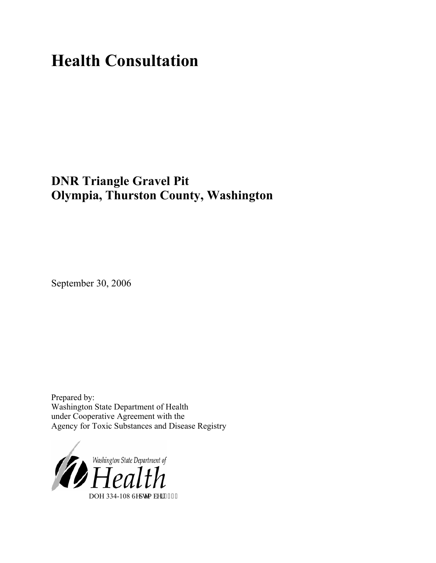# **Health Consultation**

## **DNR Triangle Gravel Pit Olympia, Thurston County, Washington**

September 30, 2006

Prepared by: Washington State Department of Health under Cooperative Agreement with the Agency for Toxic Substances and Disease Registry

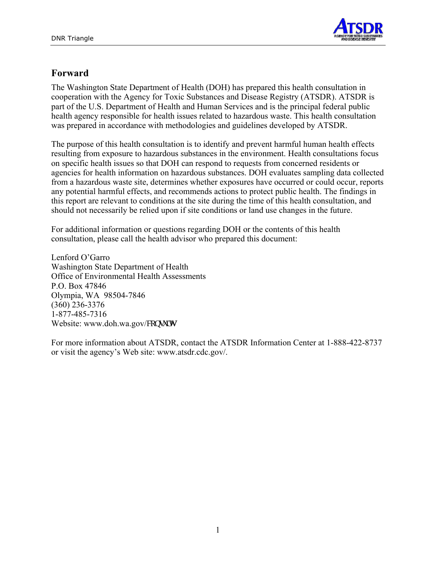

## **Forward**

The Washington State Department of Health (DOH) has prepared this health consultation in cooperation with the Agency for Toxic Substances and Disease Registry (ATSDR). ATSDR is part of the U.S. Department of Health and Human Services and is the principal federal public health agency responsible for health issues related to hazardous waste. This health consultation was prepared in accordance with methodologies and guidelines developed by ATSDR.

The purpose of this health consultation is to identify and prevent harmful human health effects resulting from exposure to hazardous substances in the environment. Health consultations focus on specific health issues so that DOH can respond to requests from concerned residents or agencies for health information on hazardous substances. DOH evaluates sampling data collected from a hazardous waste site, determines whether exposures have occurred or could occur, reports any potential harmful effects, and recommends actions to protect public health. The findings in this report are relevant to conditions at the site during the time of this health consultation, and should not necessarily be relied upon if site conditions or land use changes in the future.

For additional information or questions regarding DOH or the contents of this health consultation, please call the health advisor who prepared this document:

Lenford O'Garro Washington State Department of Health Office of Environmental Health Assessments P.O. Box 47846 Olympia, WA 98504-7846 (360) 236-3376 1-877-485-7316 Website: [www.doh.wa.gov/](http://www.doh.wa.gov/consults)eqpuww

For more information about ATSDR, contact the ATSDR Information Center at 1-888-422-8737 or visit the agency's Web site: www.atsdr.cdc.gov/.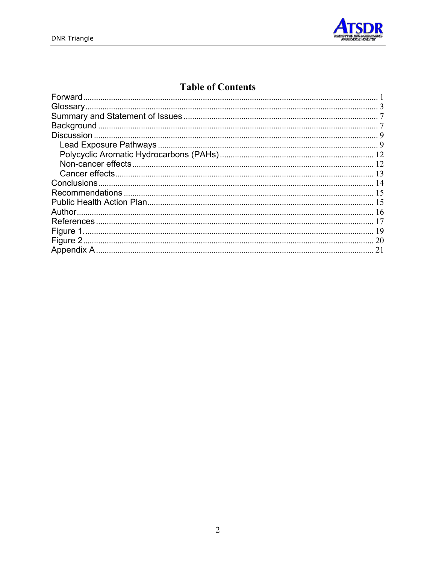

## **Table of Contents**

| Forward |    |
|---------|----|
|         |    |
|         |    |
|         |    |
|         | -9 |
|         |    |
|         |    |
|         |    |
|         |    |
|         |    |
|         |    |
|         |    |
|         |    |
|         | 17 |
|         |    |
|         | 20 |
|         | 21 |
|         |    |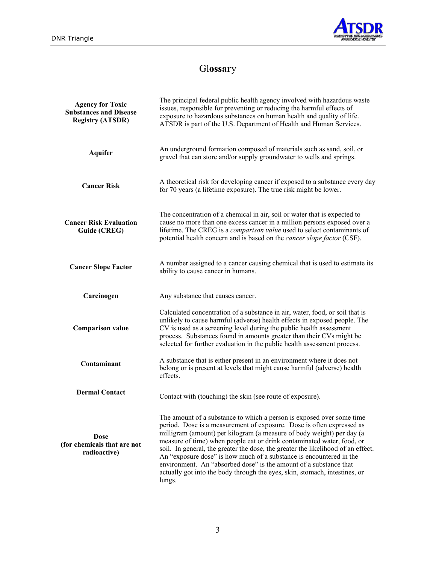

## Gl**ossar**y

| <b>Agency for Toxic</b><br><b>Substances and Disease</b><br><b>Registry (ATSDR)</b> | The principal federal public health agency involved with hazardous waste<br>issues, responsible for preventing or reducing the harmful effects of<br>exposure to hazardous substances on human health and quality of life.<br>ATSDR is part of the U.S. Department of Health and Human Services.                                                                                                                                                                                                                                                                                                                          |  |  |  |  |
|-------------------------------------------------------------------------------------|---------------------------------------------------------------------------------------------------------------------------------------------------------------------------------------------------------------------------------------------------------------------------------------------------------------------------------------------------------------------------------------------------------------------------------------------------------------------------------------------------------------------------------------------------------------------------------------------------------------------------|--|--|--|--|
| <b>Aquifer</b>                                                                      | An underground formation composed of materials such as sand, soil, or<br>gravel that can store and/or supply groundwater to wells and springs.                                                                                                                                                                                                                                                                                                                                                                                                                                                                            |  |  |  |  |
| <b>Cancer Risk</b>                                                                  | A theoretical risk for developing cancer if exposed to a substance every day<br>for 70 years (a lifetime exposure). The true risk might be lower.                                                                                                                                                                                                                                                                                                                                                                                                                                                                         |  |  |  |  |
| <b>Cancer Risk Evaluation</b><br>Guide (CREG)                                       | The concentration of a chemical in air, soil or water that is expected to<br>cause no more than one excess cancer in a million persons exposed over a<br>lifetime. The CREG is a comparison value used to select contaminants of<br>potential health concern and is based on the <i>cancer slope factor</i> (CSF).                                                                                                                                                                                                                                                                                                        |  |  |  |  |
| <b>Cancer Slope Factor</b>                                                          | A number assigned to a cancer causing chemical that is used to estimate its<br>ability to cause cancer in humans.                                                                                                                                                                                                                                                                                                                                                                                                                                                                                                         |  |  |  |  |
| Carcinogen                                                                          | Any substance that causes cancer.                                                                                                                                                                                                                                                                                                                                                                                                                                                                                                                                                                                         |  |  |  |  |
| <b>Comparison value</b>                                                             | Calculated concentration of a substance in air, water, food, or soil that is<br>unlikely to cause harmful (adverse) health effects in exposed people. The<br>CV is used as a screening level during the public health assessment<br>process. Substances found in amounts greater than their CVs might be<br>selected for further evaluation in the public health assessment process.                                                                                                                                                                                                                                      |  |  |  |  |
| Contaminant                                                                         | A substance that is either present in an environment where it does not<br>belong or is present at levels that might cause harmful (adverse) health<br>effects.                                                                                                                                                                                                                                                                                                                                                                                                                                                            |  |  |  |  |
| <b>Dermal Contact</b>                                                               | Contact with (touching) the skin (see route of exposure).                                                                                                                                                                                                                                                                                                                                                                                                                                                                                                                                                                 |  |  |  |  |
| <b>Dose</b><br>(for chemicals that are not<br>radioactive)                          | The amount of a substance to which a person is exposed over some time<br>period. Dose is a measurement of exposure. Dose is often expressed as<br>milligram (amount) per kilogram (a measure of body weight) per day (a<br>measure of time) when people eat or drink contaminated water, food, or<br>soil. In general, the greater the dose, the greater the likelihood of an effect.<br>An "exposure dose" is how much of a substance is encountered in the<br>environment. An "absorbed dose" is the amount of a substance that<br>actually got into the body through the eyes, skin, stomach, intestines, or<br>lungs. |  |  |  |  |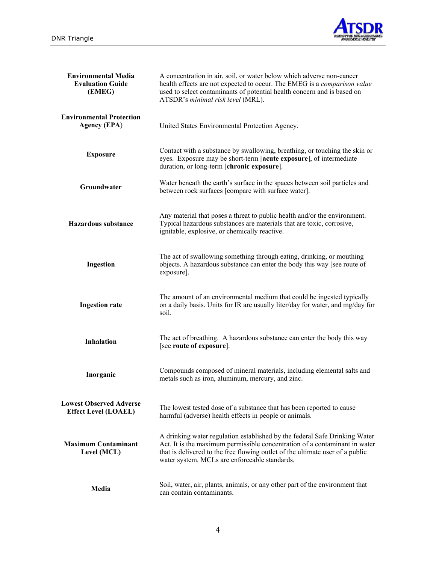

| <b>Environmental Media</b><br><b>Evaluation Guide</b><br>(EMEG) | A concentration in air, soil, or water below which adverse non-cancer<br>health effects are not expected to occur. The EMEG is a comparison value<br>used to select contaminants of potential health concern and is based on<br>ATSDR's minimal risk level (MRL).                          |
|-----------------------------------------------------------------|--------------------------------------------------------------------------------------------------------------------------------------------------------------------------------------------------------------------------------------------------------------------------------------------|
| <b>Environmental Protection</b><br><b>Agency (EPA)</b>          | United States Environmental Protection Agency.                                                                                                                                                                                                                                             |
| <b>Exposure</b>                                                 | Contact with a substance by swallowing, breathing, or touching the skin or<br>eyes. Exposure may be short-term [acute exposure], of intermediate<br>duration, or long-term [chronic exposure].                                                                                             |
| Groundwater                                                     | Water beneath the earth's surface in the spaces between soil particles and<br>between rock surfaces [compare with surface water].                                                                                                                                                          |
| <b>Hazardous substance</b>                                      | Any material that poses a threat to public health and/or the environment.<br>Typical hazardous substances are materials that are toxic, corrosive,<br>ignitable, explosive, or chemically reactive.                                                                                        |
| Ingestion                                                       | The act of swallowing something through eating, drinking, or mouthing<br>objects. A hazardous substance can enter the body this way [see route of<br>exposure].                                                                                                                            |
| <b>Ingestion rate</b>                                           | The amount of an environmental medium that could be ingested typically<br>on a daily basis. Units for IR are usually liter/day for water, and mg/day for<br>soil.                                                                                                                          |
| <b>Inhalation</b>                                               | The act of breathing. A hazardous substance can enter the body this way<br>[see route of exposure].                                                                                                                                                                                        |
| Inorganic                                                       | Compounds composed of mineral materials, including elemental salts and<br>metals such as iron, aluminum, mercury, and zinc.                                                                                                                                                                |
| <b>Lowest Observed Adverse</b><br><b>Effect Level (LOAEL)</b>   | The lowest tested dose of a substance that has been reported to cause<br>harmful (adverse) health effects in people or animals.                                                                                                                                                            |
| <b>Maximum Contaminant</b><br>Level (MCL)                       | A drinking water regulation established by the federal Safe Drinking Water<br>Act. It is the maximum permissible concentration of a contaminant in water<br>that is delivered to the free flowing outlet of the ultimate user of a public<br>water system. MCLs are enforceable standards. |
| Media                                                           | Soil, water, air, plants, animals, or any other part of the environment that<br>can contain contaminants.                                                                                                                                                                                  |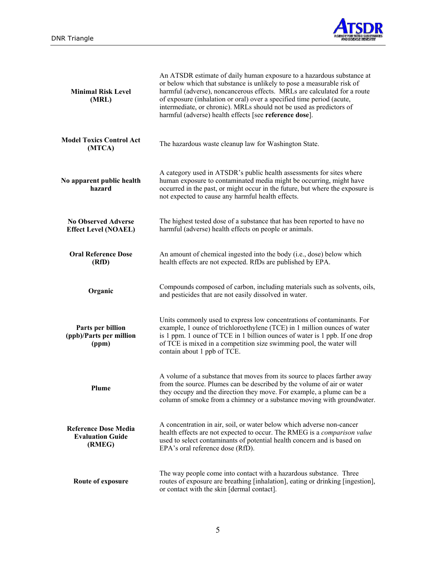

| <b>Minimal Risk Level</b><br>(MRL)                               | An ATSDR estimate of daily human exposure to a hazardous substance at<br>or below which that substance is unlikely to pose a measurable risk of<br>harmful (adverse), noncancerous effects. MRLs are calculated for a route<br>of exposure (inhalation or oral) over a specified time period (acute,<br>intermediate, or chronic). MRLs should not be used as predictors of<br>harmful (adverse) health effects [see reference dose]. |  |  |  |  |
|------------------------------------------------------------------|---------------------------------------------------------------------------------------------------------------------------------------------------------------------------------------------------------------------------------------------------------------------------------------------------------------------------------------------------------------------------------------------------------------------------------------|--|--|--|--|
| <b>Model Toxics Control Act</b><br>(MTCA)                        | The hazardous waste cleanup law for Washington State.                                                                                                                                                                                                                                                                                                                                                                                 |  |  |  |  |
| No apparent public health<br>hazard                              | A category used in ATSDR's public health assessments for sites where<br>human exposure to contaminated media might be occurring, might have<br>occurred in the past, or might occur in the future, but where the exposure is<br>not expected to cause any harmful health effects.                                                                                                                                                     |  |  |  |  |
| <b>No Observed Adverse</b><br><b>Effect Level (NOAEL)</b>        | The highest tested dose of a substance that has been reported to have no<br>harmful (adverse) health effects on people or animals.                                                                                                                                                                                                                                                                                                    |  |  |  |  |
| <b>Oral Reference Dose</b><br>(RfD)                              | An amount of chemical ingested into the body (i.e., dose) below which<br>health effects are not expected. RfDs are published by EPA.                                                                                                                                                                                                                                                                                                  |  |  |  |  |
| Organic                                                          | Compounds composed of carbon, including materials such as solvents, oils,<br>and pesticides that are not easily dissolved in water.                                                                                                                                                                                                                                                                                                   |  |  |  |  |
| Parts per billion<br>(ppb)/Parts per million<br>(ppm)            | Units commonly used to express low concentrations of contaminants. For<br>example, 1 ounce of trichloroethylene (TCE) in 1 million ounces of water<br>is 1 ppm. 1 ounce of TCE in 1 billion ounces of water is 1 ppb. If one drop<br>of TCE is mixed in a competition size swimming pool, the water will<br>contain about 1 ppb of TCE.                                                                                               |  |  |  |  |
| Plume                                                            | A volume of a substance that moves from its source to places farther away<br>from the source. Plumes can be described by the volume of air or water<br>they occupy and the direction they move. For example, a plume can be a<br>column of smoke from a chimney or a substance moving with groundwater.                                                                                                                               |  |  |  |  |
| <b>Reference Dose Media</b><br><b>Evaluation Guide</b><br>(RMEG) | A concentration in air, soil, or water below which adverse non-cancer<br>health effects are not expected to occur. The RMEG is a comparison value<br>used to select contaminants of potential health concern and is based on<br>EPA's oral reference dose (RfD).                                                                                                                                                                      |  |  |  |  |
| Route of exposure                                                | The way people come into contact with a hazardous substance. Three<br>routes of exposure are breathing [inhalation], eating or drinking [ingestion],<br>or contact with the skin [dermal contact].                                                                                                                                                                                                                                    |  |  |  |  |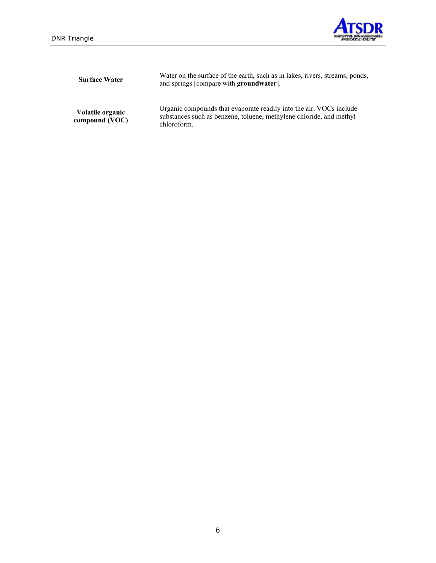

| <b>Surface Water</b>               | Water on the surface of the earth, such as in lakes, rivers, streams, ponds,<br>and springs [compare with <b>groundwater</b> ].                           |
|------------------------------------|-----------------------------------------------------------------------------------------------------------------------------------------------------------|
| Volatile organic<br>compound (VOC) | Organic compounds that evaporate readily into the air. VOCs include<br>substances such as benzene, toluene, methylene chloride, and methyl<br>chloroform. |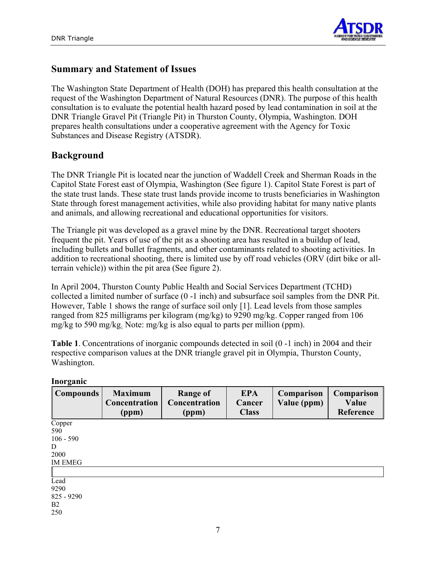

## **Summary and Statement of Issues**

The Washington State Department of Health (DOH) has prepared this health consultation at the request of the Washington Department of Natural Resources (DNR). The purpose of this health consultation is to evaluate the potential health hazard posed by lead contamination in soil at the DNR Triangle Gravel Pit (Triangle Pit) in Thurston County, Olympia, Washington. DOH prepares health consultations under a cooperative agreement with the Agency for Toxic Substances and Disease Registry (ATSDR).

## **Background**

The DNR Triangle Pit is located near the junction of Waddell Creek and Sherman Roads in the Capitol State Forest east of Olympia, Washington (See figure 1). Capitol State Forest is part of the state trust lands. These state trust lands provide income to trusts beneficiaries in Washington State through forest management activities, while also providing habitat for many native plants and animals, and allowing recreational and educational opportunities for visitors.

The Triangle pit was developed as a gravel mine by the DNR. Recreational target shooters frequent the pit. Years of use of the pit as a shooting area has resulted in a buildup of lead, including bullets and bullet fragments, and other contaminants related to shooting activities. In addition to recreational shooting, there is limited use by off road vehicles (ORV (dirt bike or allterrain vehicle)) within the pit area (See figure 2).

In April 2004, Thurston County Public Health and Social Services Department (TCHD) collected a limited number of surface (0 -1 inch) and subsurface soil samples from the DNR Pit. However, Table 1 shows the range of surface soil only [1]. Lead levels from those samples ranged from 825 milligrams per kilogram (mg/kg) to 9290 mg/kg. Copper ranged from 106 mg/kg to 590 mg/kg. Note: mg/kg is also equal to parts per million (ppm).

**Table 1**. Concentrations of inorganic compounds detected in soil (0 -1 inch) in 2004 and their respective comparison values at the DNR triangle gravel pit in Olympia, Thurston County, Washington.

| <b>Compounds</b> | <b>Maximum</b><br>Concentration<br>(ppm) | <b>Range of</b><br>Concentration<br>(ppm) | <b>EPA</b><br>Cancer<br><b>Class</b> | Comparison<br>Value (ppm) | Comparison<br>Value<br>Reference |  |
|------------------|------------------------------------------|-------------------------------------------|--------------------------------------|---------------------------|----------------------------------|--|
| Copper           |                                          |                                           |                                      |                           |                                  |  |
| 590              |                                          |                                           |                                      |                           |                                  |  |
| $106 - 590$      |                                          |                                           |                                      |                           |                                  |  |
| D                |                                          |                                           |                                      |                           |                                  |  |
| 2000             |                                          |                                           |                                      |                           |                                  |  |
| <b>IM EMEG</b>   |                                          |                                           |                                      |                           |                                  |  |
|                  |                                          |                                           |                                      |                           |                                  |  |
| Lead             |                                          |                                           |                                      |                           |                                  |  |
| 9290             |                                          |                                           |                                      |                           |                                  |  |
| $825 - 9290$     |                                          |                                           |                                      |                           |                                  |  |
| <b>B2</b>        |                                          |                                           |                                      |                           |                                  |  |
| 250              |                                          |                                           |                                      |                           |                                  |  |
|                  |                                          |                                           |                                      |                           |                                  |  |

**Inorganic**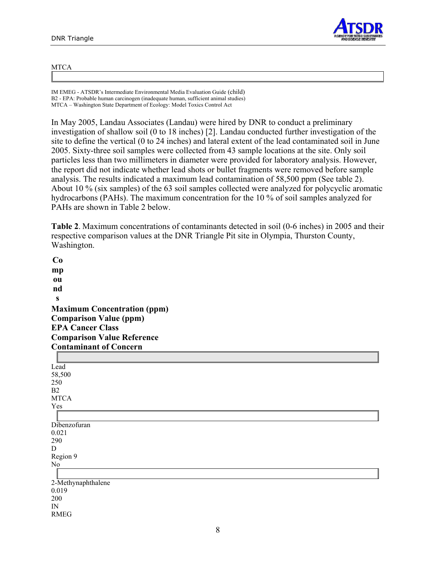

**MTCA** 

IM EMEG - ATSDR's Intermediate Environmental Media Evaluation Guide (child) B2 - EPA: Probable human carcinogen (inadequate human, sufficient animal studies) MTCA – Washington State Department of Ecology: Model Toxics Control Act

In May 2005, Landau Associates (Landau) were hired by DNR to conduct a preliminary investigation of shallow soil (0 to 18 inches) [2]. Landau conducted further investigation of the site to define the vertical (0 to 24 inches) and lateral extent of the lead contaminated soil in June 2005. Sixty-three soil samples were collected from 43 sample locations at the site. Only soil particles less than two millimeters in diameter were provided for laboratory analysis. However, the report did not indicate whether lead shots or bullet fragments were removed before sample analysis. The results indicated a maximum lead contamination of 58,500 ppm (See table 2). About 10 % (six samples) of the 63 soil samples collected were analyzed for polycyclic aromatic hydrocarbons (PAHs). The maximum concentration for the 10 % of soil samples analyzed for PAHs are shown in Table 2 below.

**Table 2**. Maximum concentrations of contaminants detected in soil (0-6 inches) in 2005 and their respective comparison values at the DNR Triangle Pit site in Olympia, Thurston County, Washington.

**Co mp ou nd s Maximum Concentration (ppm) Comparison Value (ppm) EPA Cancer Class Comparison Value Reference Contaminant of Concern** Lead 58,500 250  $B<sub>2</sub>$ **MTCA** Yes Dibenzofuran 0.021 290 D Region 9 No 2-Methynaphthalene 0.019 200 IN RMEG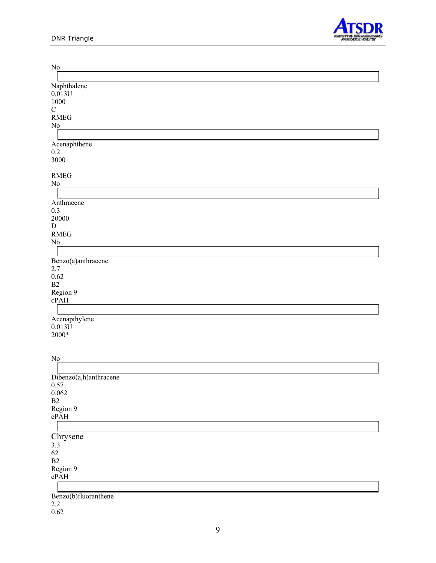

| No                                  |  |
|-------------------------------------|--|
|                                     |  |
| Naphthalene                         |  |
| 0.013U                              |  |
| 1000                                |  |
| $\mathsf{C}$                        |  |
| <b>RMEG</b>                         |  |
| No                                  |  |
|                                     |  |
| Acenaphthene                        |  |
| 0.2                                 |  |
| 3000                                |  |
|                                     |  |
| <b>RMEG</b>                         |  |
| No                                  |  |
|                                     |  |
| Anthracene                          |  |
| 0.3                                 |  |
| 20000                               |  |
| ${\bf D}$                           |  |
| <b>RMEG</b>                         |  |
| No                                  |  |
|                                     |  |
| Benzo(a)anthracene                  |  |
| 2.7                                 |  |
| 0.62                                |  |
| B2                                  |  |
| Region 9<br>cPAH                    |  |
|                                     |  |
|                                     |  |
| Acenapthylene                       |  |
| $0.013\overline{U}$                 |  |
| $2000*$                             |  |
|                                     |  |
| No                                  |  |
|                                     |  |
|                                     |  |
| $D$ ibenzo(a,h)anthracene           |  |
| 0.57                                |  |
| $0.062\,$<br>$\mathbf{B2}$          |  |
| Region 9                            |  |
| cPAH                                |  |
|                                     |  |
|                                     |  |
| Chrysene                            |  |
| 3.3                                 |  |
| 62<br>B2                            |  |
|                                     |  |
| Region 9<br>$c\overline{PAH}$       |  |
|                                     |  |
|                                     |  |
| Benzo(b)fluoranthene<br>2.2<br>0.62 |  |
|                                     |  |
|                                     |  |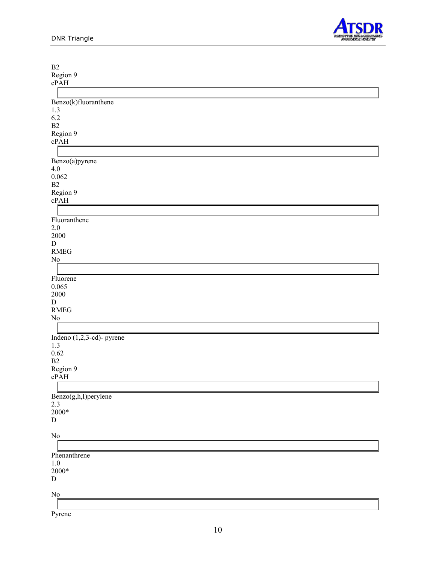

| B2                           |
|------------------------------|
| Region 9                     |
| cPAH                         |
|                              |
| Benzo(k)fluoranthene         |
| $1.3$                        |
| 6.2                          |
| B2                           |
| Region 9                     |
| cPAH                         |
|                              |
| Benzo(a)pyrene               |
| $4.0\,$                      |
| 0.062                        |
| B2                           |
| Region 9                     |
| cPAH                         |
|                              |
| Fluoranthene                 |
| 2.0                          |
| 2000                         |
| ${\bf D}$                    |
| <b>RMEG</b>                  |
| N <sub>0</sub>               |
|                              |
| Fluorene                     |
| 0.065                        |
| 2000                         |
| ${\bf D}$                    |
| <b>RMEG</b>                  |
| N <sub>0</sub>               |
|                              |
| Indeno $(1,2,3$ -cd)- pyrene |
| 1.3                          |
| 0.62                         |
| B2                           |
| Region 9                     |
| cPAH                         |
|                              |
|                              |
| Benzo(g,h,I)perylene<br>2.3  |
| $2000\text{*}$               |
| ${\bf D}$                    |
|                              |
| $\rm No$                     |
|                              |
| Phenanthrene                 |
| $1.0\,$                      |
| $2000\text{*}$               |
| ${\bf D}$                    |
|                              |
| $\rm No$                     |
|                              |
| Pyrene                       |
|                              |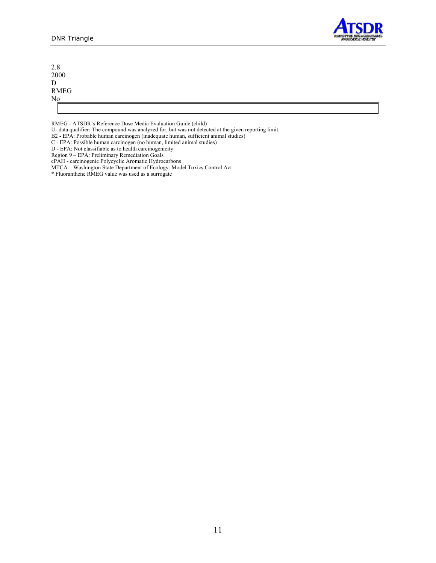

2.8 2000  $\mathbf D$ RMEG No

RMEG - ATSDR's Reference Dose Media Evaluation Guide (child)

- U- data qualifier: The compound was analyzed for, but was not detected at the given reporting limit.
- B2 EPA: Probable human carcinogen (inadequate human, sufficient animal studies)
- C EPA: Possible human carcinogen (no human, limited animal studies)
- D EPA: Not classifiable as to health carcinogenicity
- Region 9 EPA: Preliminary Remediation Goals
- cPAH carcinogenic Polycyclic Aromatic Hydrocarbons
- MTCA Washington State Department of Ecology: Model Toxics Control Act
- \* Fluoranthene RMEG value was used as a surrogate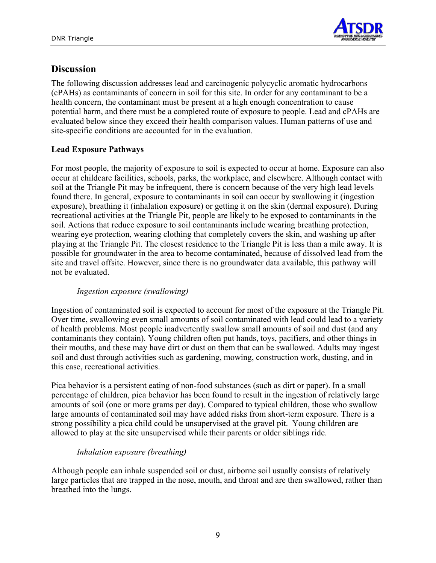

## **Discussion**

The following discussion addresses lead and carcinogenic polycyclic aromatic hydrocarbons (cPAHs) as contaminants of concern in soil for this site. In order for any contaminant to be a health concern, the contaminant must be present at a high enough concentration to cause potential harm, and there must be a completed route of exposure to people. Lead and cPAHs are evaluated below since they exceed their health comparison values. Human patterns of use and site-specific conditions are accounted for in the evaluation.

## **Lead Exposure Pathways**

For most people, the majority of exposure to soil is expected to occur at home. Exposure can also occur at childcare facilities, schools, parks, the workplace, and elsewhere. Although contact with soil at the Triangle Pit may be infrequent, there is concern because of the very high lead levels found there. In general, exposure to contaminants in soil can occur by swallowing it (ingestion exposure), breathing it (inhalation exposure) or getting it on the skin (dermal exposure). During recreational activities at the Triangle Pit, people are likely to be exposed to contaminants in the soil. Actions that reduce exposure to soil contaminants include wearing breathing protection, wearing eye protection, wearing clothing that completely covers the skin, and washing up after playing at the Triangle Pit. The closest residence to the Triangle Pit is less than a mile away. It is possible for groundwater in the area to become contaminated, because of dissolved lead from the site and travel offsite. However, since there is no groundwater data available, this pathway will not be evaluated.

## *Ingestion exposure (swallowing)*

Ingestion of contaminated soil is expected to account for most of the exposure at the Triangle Pit. Over time, swallowing even small amounts of soil contaminated with lead could lead to a variety of health problems. Most people inadvertently swallow small amounts of soil and dust (and any contaminants they contain). Young children often put hands, toys, pacifiers, and other things in their mouths, and these may have dirt or dust on them that can be swallowed. Adults may ingest soil and dust through activities such as gardening, mowing, construction work, dusting, and in this case, recreational activities.

Pica behavior is a persistent eating of non-food substances (such as dirt or paper). In a small percentage of children, pica behavior has been found to result in the ingestion of relatively large amounts of soil (one or more grams per day). Compared to typical children, those who swallow large amounts of contaminated soil may have added risks from short-term exposure. There is a strong possibility a pica child could be unsupervised at the gravel pit. Young children are allowed to play at the site unsupervised while their parents or older siblings ride.

## *Inhalation exposure (breathing)*

Although people can inhale suspended soil or dust, airborne soil usually consists of relatively large particles that are trapped in the nose, mouth, and throat and are then swallowed, rather than breathed into the lungs.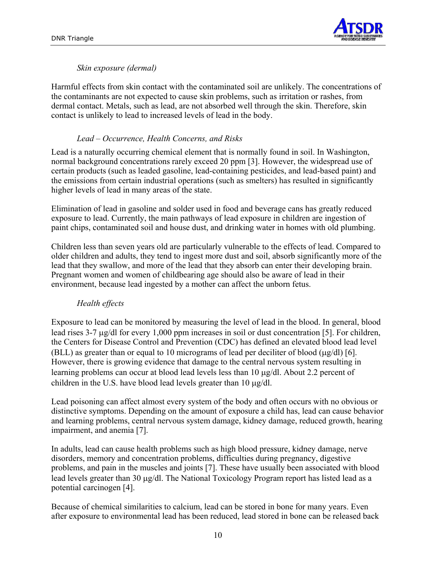

*Skin exposure (dermal)* 

Harmful effects from skin contact with the contaminated soil are unlikely. The concentrations of the contaminants are not expected to cause skin problems, such as irritation or rashes, from dermal contact. Metals, such as lead, are not absorbed well through the skin. Therefore, skin contact is unlikely to lead to increased levels of lead in the body.

### *Lead – Occurrence, Health Concerns, and Risks*

Lead is a naturally occurring chemical element that is normally found in soil. In Washington, normal background concentrations rarely exceed 20 ppm [3]. However, the widespread use of certain products (such as leaded gasoline, lead-containing pesticides, and lead-based paint) and the emissions from certain industrial operations (such as smelters) has resulted in significantly higher levels of lead in many areas of the state.

Elimination of lead in gasoline and solder used in food and beverage cans has greatly reduced exposure to lead. Currently, the main pathways of lead exposure in children are ingestion of paint chips, contaminated soil and house dust, and drinking water in homes with old plumbing.

Children less than seven years old are particularly vulnerable to the effects of lead. Compared to older children and adults, they tend to ingest more dust and soil, absorb significantly more of the lead that they swallow, and more of the lead that they absorb can enter their developing brain. Pregnant women and women of childbearing age should also be aware of lead in their environment, because lead ingested by a mother can affect the unborn fetus.

### *Health effects*

Exposure to lead can be monitored by measuring the level of lead in the blood. In general, blood lead rises 3-7 µg/dl for every 1,000 ppm increases in soil or dust concentration [5]. For children, the Centers for Disease Control and Prevention (CDC) has defined an elevated blood lead level (BLL) as greater than or equal to 10 micrograms of lead per deciliter of blood  $(\mu g/d)$  [6]. However, there is growing evidence that damage to the central nervous system resulting in learning problems can occur at blood lead levels less than 10 µg/dl. About 2.2 percent of children in the U.S. have blood lead levels greater than 10  $\mu$ g/dl.

Lead poisoning can affect almost every system of the body and often occurs with no obvious or distinctive symptoms. Depending on the amount of exposure a child has, lead can cause behavior and learning problems, central nervous system damage, kidney damage, reduced growth, hearing impairment, and anemia [7].

In adults, lead can cause health problems such as high blood pressure, kidney damage, nerve disorders, memory and concentration problems, difficulties during pregnancy, digestive problems, and pain in the muscles and joints [7]. These have usually been associated with blood lead levels greater than 30 µg/dl. The National Toxicology Program report has listed lead as a potential carcinogen [4].

Because of chemical similarities to calcium, lead can be stored in bone for many years. Even after exposure to environmental lead has been reduced, lead stored in bone can be released back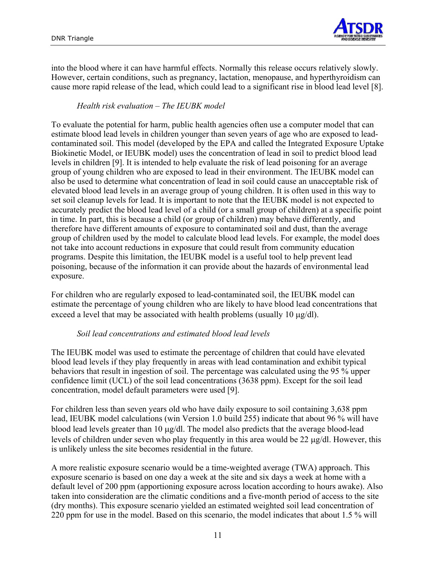

into the blood where it can have harmful effects. Normally this release occurs relatively slowly. However, certain conditions, such as pregnancy, lactation, menopause, and hyperthyroidism can cause more rapid release of the lead, which could lead to a significant rise in blood lead level [8].

### *Health risk evaluation – The IEUBK model*

To evaluate the potential for harm, public health agencies often use a computer model that can estimate blood lead levels in children younger than seven years of age who are exposed to leadcontaminated soil. This model (developed by the EPA and called the Integrated Exposure Uptake Biokinetic Model, or IEUBK model) uses the concentration of lead in soil to predict blood lead levels in children [9]. It is intended to help evaluate the risk of lead poisoning for an average group of young children who are exposed to lead in their environment. The IEUBK model can also be used to determine what concentration of lead in soil could cause an unacceptable risk of elevated blood lead levels in an average group of young children. It is often used in this way to set soil cleanup levels for lead. It is important to note that the IEUBK model is not expected to accurately predict the blood lead level of a child (or a small group of children) at a specific point in time. In part, this is because a child (or group of children) may behave differently, and therefore have different amounts of exposure to contaminated soil and dust, than the average group of children used by the model to calculate blood lead levels. For example, the model does not take into account reductions in exposure that could result from community education programs. Despite this limitation, the IEUBK model is a useful tool to help prevent lead poisoning, because of the information it can provide about the hazards of environmental lead exposure.

For children who are regularly exposed to lead-contaminated soil, the IEUBK model can estimate the percentage of young children who are likely to have blood lead concentrations that exceed a level that may be associated with health problems (usually 10  $\mu$ g/dl).

#### *Soil lead concentrations and estimated blood lead levels*

The IEUBK model was used to estimate the percentage of children that could have elevated blood lead levels if they play frequently in areas with lead contamination and exhibit typical behaviors that result in ingestion of soil. The percentage was calculated using the 95 % upper confidence limit (UCL) of the soil lead concentrations (3638 ppm). Except for the soil lead concentration, model default parameters were used [9].

For children less than seven years old who have daily exposure to soil containing 3,638 ppm lead, IEUBK model calculations (win Version 1.0 build 255) indicate that about 96 % will have blood lead levels greater than 10  $\mu$ g/dl. The model also predicts that the average blood-lead levels of children under seven who play frequently in this area would be 22 µg/dl. However, this is unlikely unless the site becomes residential in the future.

A more realistic exposure scenario would be a time-weighted average (TWA) approach. This exposure scenario is based on one day a week at the site and six days a week at home with a default level of 200 ppm (apportioning exposure across location according to hours awake). Also taken into consideration are the climatic conditions and a five-month period of access to the site (dry months). This exposure scenario yielded an estimated weighted soil lead concentration of 220 ppm for use in the model. Based on this scenario, the model indicates that about 1.5 % will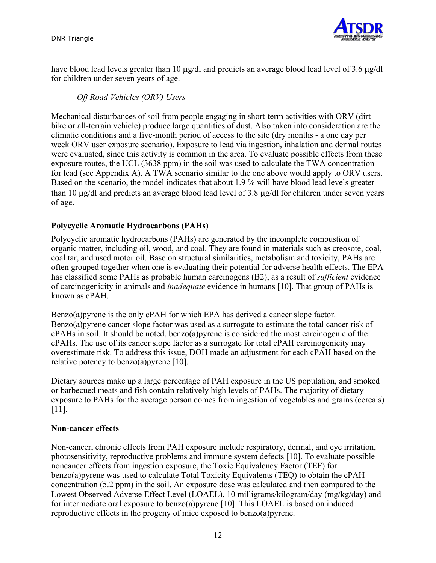

have blood lead levels greater than 10  $\mu$ g/dl and predicts an average blood lead level of 3.6  $\mu$ g/dl for children under seven years of age.

## *Off Road Vehicles (ORV) Users*

Mechanical disturbances of soil from people engaging in short-term activities with ORV (dirt bike or all-terrain vehicle) produce large quantities of dust. Also taken into consideration are the climatic conditions and a five-month period of access to the site (dry months - a one day per week ORV user exposure scenario). Exposure to lead via ingestion, inhalation and dermal routes were evaluated, since this activity is common in the area. To evaluate possible effects from these exposure routes, the UCL (3638 ppm) in the soil was used to calculate the TWA concentration for lead (see Appendix A). A TWA scenario similar to the one above would apply to ORV users. Based on the scenario, the model indicates that about 1.9 % will have blood lead levels greater than 10 µg/dl and predicts an average blood lead level of 3.8 µg/dl for children under seven years of age.

## **Polycyclic Aromatic Hydrocarbons (PAHs)**

Polycyclic aromatic hydrocarbons (PAHs) are generated by the incomplete combustion of organic matter, including oil, wood, and coal. They are found in materials such as creosote, coal, coal tar, and used motor oil. Base on structural similarities, metabolism and toxicity, PAHs are often grouped together when one is evaluating their potential for adverse health effects. The EPA has classified some PAHs as probable human carcinogens (B2), as a result of *sufficient* evidence of carcinogenicity in animals and *inadequate* evidence in humans [10]. That group of PAHs is known as cPAH.

Benzo(a)pyrene is the only cPAH for which EPA has derived a cancer slope factor. Benzo(a)pyrene cancer slope factor was used as a surrogate to estimate the total cancer risk of cPAHs in soil. It should be noted, benzo(a)pyrene is considered the most carcinogenic of the cPAHs. The use of its cancer slope factor as a surrogate for total cPAH carcinogenicity may overestimate risk. To address this issue, DOH made an adjustment for each cPAH based on the relative potency to benzo(a)pyrene [10].

Dietary sources make up a large percentage of PAH exposure in the US population, and smoked or barbecued meats and fish contain relatively high levels of PAHs. The majority of dietary exposure to PAHs for the average person comes from ingestion of vegetables and grains (cereals) [11].

### **Non-cancer effects**

Non-cancer, chronic effects from PAH exposure include respiratory, dermal, and eye irritation, photosensitivity, reproductive problems and immune system defects [10]. To evaluate possible noncancer effects from ingestion exposure, the Toxic Equivalency Factor (TEF) for benzo(a)pyrene was used to calculate Total Toxicity Equivalents (TEQ) to obtain the cPAH concentration (5.2 ppm) in the soil. An exposure dose was calculated and then compared to the Lowest Observed Adverse Effect Level (LOAEL), 10 milligrams/kilogram/day (mg/kg/day) and for intermediate oral exposure to benzo(a)pyrene [10]. This LOAEL is based on induced reproductive effects in the progeny of mice exposed to benzo(a)pyrene.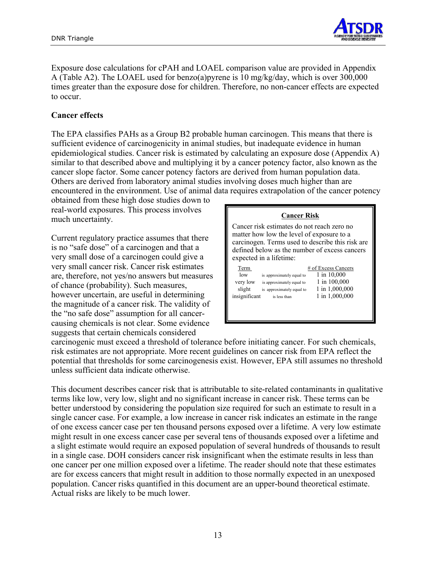

Exposure dose calculations for cPAH and LOAEL comparison value are provided in Appendix A (Table A2). The LOAEL used for benzo(a)pyrene is 10 mg/kg/day, which is over 300,000 times greater than the exposure dose for children. Therefore, no non-cancer effects are expected to occur.

### **Cancer effects**

The EPA classifies PAHs as a Group B2 probable human carcinogen. This means that there is sufficient evidence of carcinogenicity in animal studies, but inadequate evidence in human epidemiological studies. Cancer risk is estimated by calculating an exposure dose (Appendix A) similar to that described above and multiplying it by a cancer potency factor, also known as the cancer slope factor. Some cancer potency factors are derived from human population data. Others are derived from laboratory animal studies involving doses much higher than are encountered in the environment. Use of animal data requires extrapolation of the cancer potency

obtained from these high dose studies down to real-world exposures. This process involves much uncertainty.

Current regulatory practice assumes that there is no "safe dose" of a carcinogen and that a very small dose of a carcinogen could give a very small cancer risk. Cancer risk estimates are, therefore, not yes/no answers but measures of chance (probability). Such measures, however uncertain, are useful in determining the magnitude of a cancer risk. The validity of the "no safe dose" assumption for all cancercausing chemicals is not clear. Some evidence suggests that certain chemicals considered

#### **Cancer Risk**

Cancer risk estimates do not reach zero no matter how low the level of exposure to a carcinogen. Terms used to describe this risk are defined below as the number of excess cancers expected in a lifetime:

| Term          |                           | # of Excess Cancers |
|---------------|---------------------------|---------------------|
| low           | is approximately equal to | 1 in 10,000         |
| very low      | is approximately equal to | 1 in 100,000        |
| slight        | is approximately equal to | 1 in 1,000,000      |
| insignificant | is less than              | 1 in 1,000,000      |
|               |                           |                     |

carcinogenic must exceed a threshold of tolerance before initiating cancer. For such chemicals, risk estimates are not appropriate. More recent guidelines on cancer risk from EPA reflect the potential that thresholds for some carcinogenesis exist. However, EPA still assumes no threshold unless sufficient data indicate otherwise.

This document describes cancer risk that is attributable to site-related contaminants in qualitative terms like low, very low, slight and no significant increase in cancer risk. These terms can be better understood by considering the population size required for such an estimate to result in a single cancer case. For example, a low increase in cancer risk indicates an estimate in the range of one excess cancer case per ten thousand persons exposed over a lifetime. A very low estimate might result in one excess cancer case per several tens of thousands exposed over a lifetime and a slight estimate would require an exposed population of several hundreds of thousands to result in a single case. DOH considers cancer risk insignificant when the estimate results in less than one cancer per one million exposed over a lifetime. The reader should note that these estimates are for excess cancers that might result in addition to those normally expected in an unexposed population. Cancer risks quantified in this document are an upper-bound theoretical estimate. Actual risks are likely to be much lower.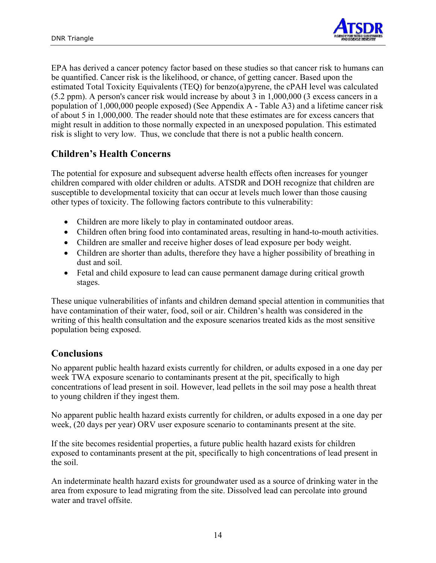

EPA has derived a cancer potency factor based on these studies so that cancer risk to humans can be quantified. Cancer risk is the likelihood, or chance, of getting cancer. Based upon the estimated Total Toxicity Equivalents (TEQ) for benzo(a)pyrene, the cPAH level was calculated (5.2 ppm). A person's cancer risk would increase by about 3 in 1,000,000 (3 excess cancers in a population of 1,000,000 people exposed) (See Appendix A - Table A3) and a lifetime cancer risk of about 5 in 1,000,000. The reader should note that these estimates are for excess cancers that might result in addition to those normally expected in an unexposed population. This estimated risk is slight to very low. Thus, we conclude that there is not a public health concern.

## **Children's Health Concerns**

The potential for exposure and subsequent adverse health effects often increases for younger children compared with older children or adults. ATSDR and DOH recognize that children are susceptible to developmental toxicity that can occur at levels much lower than those causing other types of toxicity. The following factors contribute to this vulnerability:

- Children are more likely to play in contaminated outdoor areas.
- Children often bring food into contaminated areas, resulting in hand-to-mouth activities.
- Children are smaller and receive higher doses of lead exposure per body weight.
- Children are shorter than adults, therefore they have a higher possibility of breathing in dust and soil.
- Fetal and child exposure to lead can cause permanent damage during critical growth stages.

These unique vulnerabilities of infants and children demand special attention in communities that have contamination of their water, food, soil or air. Children's health was considered in the writing of this health consultation and the exposure scenarios treated kids as the most sensitive population being exposed.

## **Conclusions**

No apparent public health hazard exists currently for children, or adults exposed in a one day per week TWA exposure scenario to contaminants present at the pit, specifically to high concentrations of lead present in soil. However, lead pellets in the soil may pose a health threat to young children if they ingest them.

No apparent public health hazard exists currently for children, or adults exposed in a one day per week, (20 days per year) ORV user exposure scenario to contaminants present at the site.

If the site becomes residential properties, a future public health hazard exists for children exposed to contaminants present at the pit, specifically to high concentrations of lead present in the soil.

An indeterminate health hazard exists for groundwater used as a source of drinking water in the area from exposure to lead migrating from the site. Dissolved lead can percolate into ground water and travel offsite.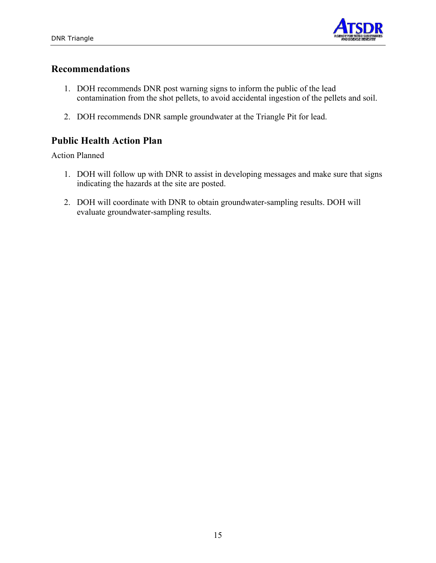

## **Recommendations**

- 1. DOH recommends DNR post warning signs to inform the public of the lead contamination from the shot pellets, to avoid accidental ingestion of the pellets and soil.
- 2. DOH recommends DNR sample groundwater at the Triangle Pit for lead.

## **Public Health Action Plan**

Action Planned

- 1. DOH will follow up with DNR to assist in developing messages and make sure that signs indicating the hazards at the site are posted.
- 2. DOH will coordinate with DNR to obtain groundwater-sampling results. DOH will evaluate groundwater-sampling results.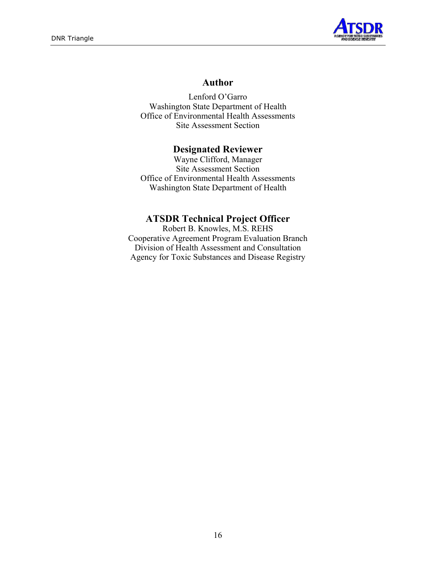

## **Author**

Lenford O'Garro Washington State Department of Health Office of Environmental Health Assessments Site Assessment Section

## **Designated Reviewer**

Wayne Clifford, Manager Site Assessment Section Office of Environmental Health Assessments Washington State Department of Health

## **ATSDR Technical Project Officer**

Robert B. Knowles, M.S. REHS Cooperative Agreement Program Evaluation Branch Division of Health Assessment and Consultation Agency for Toxic Substances and Disease Registry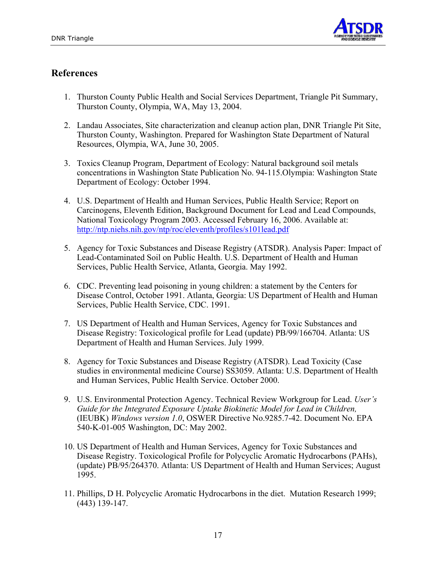

## **References**

- 1. Thurston County Public Health and Social Services Department, Triangle Pit Summary, Thurston County, Olympia, WA, May 13, 2004.
- 2. Landau Associates, Site characterization and cleanup action plan, DNR Triangle Pit Site, Thurston County, Washington. Prepared for Washington State Department of Natural Resources, Olympia, WA, June 30, 2005.
- 3. Toxics Cleanup Program, Department of Ecology: Natural background soil metals concentrations in Washington State Publication No. 94-115.Olympia: Washington State Department of Ecology: October 1994.
- 4. U.S. Department of Health and Human Services, Public Health Service; Report on Carcinogens, Eleventh Edition, Background Document for Lead and Lead Compounds, National Toxicology Program 2003. Accessed February 16, 2006. Available at: http://ntp.niehs.nih.gov/ntp/roc/eleventh/profiles/s101lead.pdf
- 5. Agency for Toxic Substances and Disease Registry (ATSDR). Analysis Paper: Impact of Lead-Contaminated Soil on Public Health. U.S. Department of Health and Human Services, Public Health Service, Atlanta, Georgia. May 1992.
- 6. CDC. Preventing lead poisoning in young children: a statement by the Centers for Disease Control, October 1991. Atlanta, Georgia: US Department of Health and Human Services, Public Health Service, CDC. 1991.
- 7. US Department of Health and Human Services, Agency for Toxic Substances and Disease Registry: Toxicological profile for Lead (update) PB/99/166704. Atlanta: US Department of Health and Human Services. July 1999.
- 8. Agency for Toxic Substances and Disease Registry (ATSDR). Lead Toxicity (Case studies in environmental medicine Course) SS3059. Atlanta: U.S. Department of Health and Human Services, Public Health Service. October 2000.
- 9. U.S. Environmental Protection Agency. Technical Review Workgroup for Lead. *User's Guide for the Integrated Exposure Uptake Biokinetic Model for Lead in Children,* (IEUBK) *Windows version 1.0*, OSWER Directive No.9285.7-42. Document No. EPA 540-K-01-005 Washington, DC: May 2002.
- 10. US Department of Health and Human Services, Agency for Toxic Substances and Disease Registry. Toxicological Profile for Polycyclic Aromatic Hydrocarbons (PAHs), (update) PB/95/264370. Atlanta: US Department of Health and Human Services; August 1995.
- 11. Phillips, D H. Polycyclic Aromatic Hydrocarbons in the diet. Mutation Research 1999; (443) 139-147.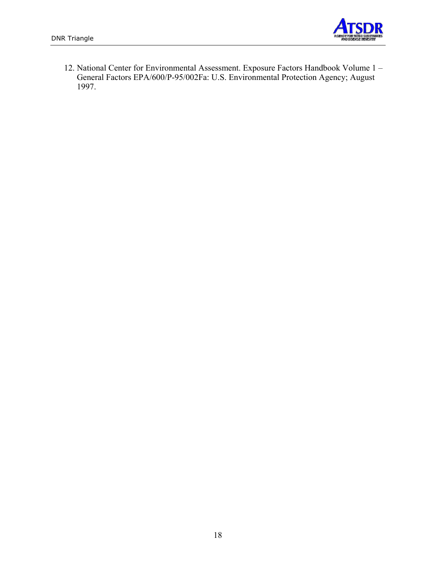

12. National Center for Environmental Assessment. Exposure Factors Handbook Volume 1 – General Factors EPA/600/P-95/002Fa: U.S. Environmental Protection Agency; August 1997.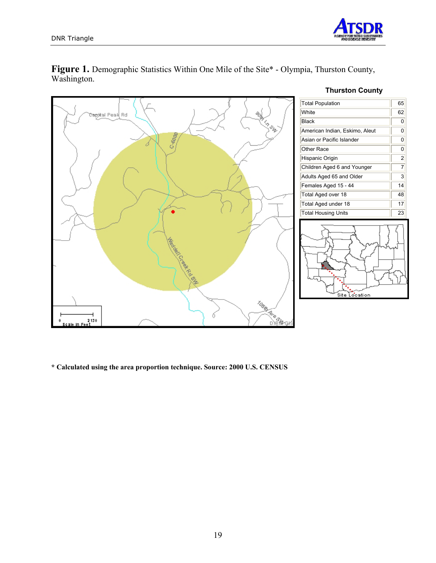

## Figure 1. Demographic Statistics Within One Mile of the Site\* - Olympia, Thurston County, Washington.



#### **Thurston County**

| White                          | 62             |
|--------------------------------|----------------|
| Black                          | 0              |
| American Indian, Eskimo, Aleut | 0              |
| Asian or Pacific Islander      | 0              |
| Other Race                     | 0              |
| Hispanic Origin                | $\overline{2}$ |
| Children Aged 6 and Younger    | $\overline{7}$ |
| Adults Aged 65 and Older       | 3              |
| Females Aged 15 - 44           | 14             |
| Total Aged over 18             | 48             |
| Total Aged under 18            | 17             |
| <b>Total Housing Units</b>     | 23             |
|                                |                |

.<br>Site

.ocation

**\* Calculated using the area proportion technique. Source: 2000 U.S. CENSUS**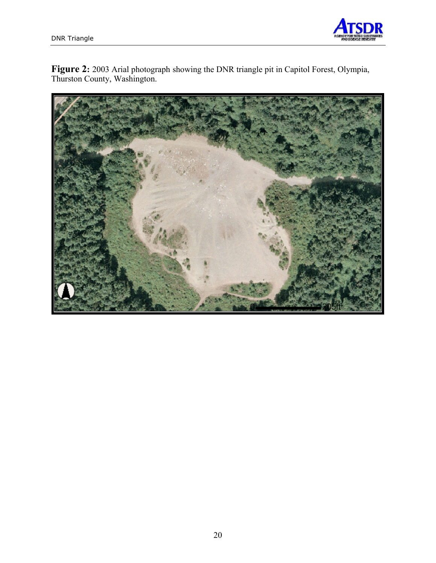

**Figure 2:** 2003 Arial photograph showing the DNR triangle pit in Capitol Forest, Olympia, Thurston County, Washington.

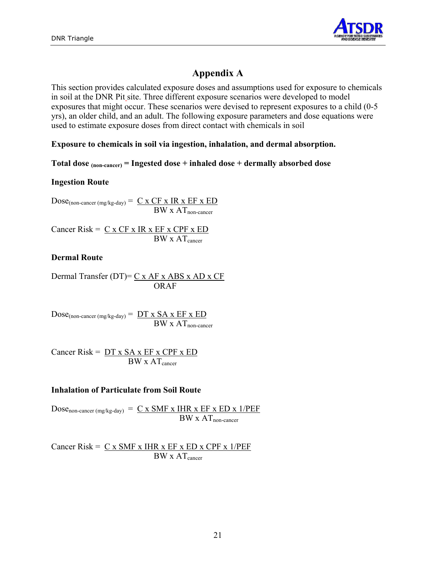

## **Appendix A**

This section provides calculated exposure doses and assumptions used for exposure to chemicals in soil at the DNR Pit site. Three different exposure scenarios were developed to model exposures that might occur. These scenarios were devised to represent exposures to a child (0-5 yrs), an older child, and an adult. The following exposure parameters and dose equations were used to estimate exposure doses from direct contact with chemicals in soil

### **Exposure to chemicals in soil via ingestion, inhalation, and dermal absorption.**

### **Total dose (non-cancer) = Ingested dose + inhaled dose + dermally absorbed dose**

### **Ingestion Route**

 $Dose_{(non-cancer (mg/kg-day))} = C \times CF \times IR \times EF \times ED$  $BW \times AT_{non-cancer}$ 

Cancer Risk =  $C x CF x IR x EF x CPF x ED$  $BW \times AT_{cancer}$ 

## **Dermal Route**

Dermal Transfer (DT)= $C x AF x ABS x AD x CF$ ORAF

 $Dose_{(non\text{-}cancer \,(mg/kg\text{-}day)} = DT x S A x EF x ED$  $\frac{1}{\text{BW } \text{x } \text{AT}}$ <sub>non-cancer</sub>

Cancer Risk =  $DT x SA x EF x CPF x ED$ BW x ATcancer

### **Inhalation of Particulate from Soil Route**

Dose<sub>non-cancer (mg/kg-day)</sub> =  $C \times SMF \times IHR \times EF \times ED \times 1/PEF$  $BW \times AT_{non-cancer}$ 

Cancer Risk =  $C x SMF x IHR x EF x ED x CPF x 1/PEF$  $BW \times AT_{\text{cancer}}$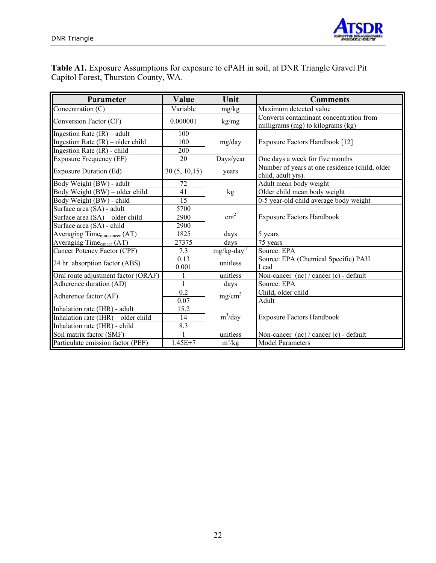

#### **Table A1.** Exposure Assumptions for exposure to cPAH in soil, at DNR Triangle Gravel Pit Capitol Forest, Thurston County, WA.

| Parameter                                 | Value         | Unit                       | <b>Comments</b>                                                              |  |  |
|-------------------------------------------|---------------|----------------------------|------------------------------------------------------------------------------|--|--|
| Concentration (C)                         | Variable      | mg/kg                      | Maximum detected value                                                       |  |  |
| Conversion Factor (CF)                    | 0.000001      | kg/mg                      | Converts contaminant concentration from<br>milligrams (mg) to kilograms (kg) |  |  |
| Ingestion Rate $(IR)$ – adult             | 100           |                            |                                                                              |  |  |
| Ingestion Rate $(IR)$ – older child       | 100           | mg/day                     | Exposure Factors Handbook [12]                                               |  |  |
| Ingestion Rate (IR) - child               | 200           |                            |                                                                              |  |  |
| Exposure Frequency (EF)                   | 20            | Days/year                  | One days a week for five months                                              |  |  |
| <b>Exposure Duration (Ed)</b>             | 30(5, 10, 15) | years                      | Number of years at one residence (child, older<br>child, adult yrs).         |  |  |
| Body Weight (BW) - adult                  | 72            |                            | Adult mean body weight                                                       |  |  |
| Body Weight (BW) - older child            | 41            | kg                         | Older child mean body weight                                                 |  |  |
| Body Weight (BW) - child                  | 15            |                            | 0-5 year-old child average body weight                                       |  |  |
| Surface area (SA) - adult                 | 5700          |                            |                                                                              |  |  |
| Surface area $(SA)$ – older child         | 2900          | $\text{cm}^2$              | <b>Exposure Factors Handbook</b>                                             |  |  |
| Surface area (SA) - child                 | 2900          |                            |                                                                              |  |  |
| Averaging Time <sub>non-cancer</sub> (AT) | 1825          | days                       | 5 years                                                                      |  |  |
| Averaging Time <sub>cancer</sub> (AT)     | 27375         | days                       | 75 years                                                                     |  |  |
| Cancer Potency Factor (CPF)               | 7.3           | $mg/kg$ -day <sup>-1</sup> | Source: EPA                                                                  |  |  |
| 24 hr. absorption factor (ABS)            | 0.13<br>0.001 | unitless                   | Source: EPA (Chemical Specific) PAH<br>Lead                                  |  |  |
| Oral route adjustment factor (ORAF)       |               | unitless                   | Non-cancer (nc) / cancer (c) - default                                       |  |  |
| Adherence duration (AD)                   | 1             | days                       | Source: EPA                                                                  |  |  |
|                                           | 0.2           | mg/cm <sup>2</sup>         | Child, older child                                                           |  |  |
| Adherence factor (AF)                     | 0.07          |                            | Adult                                                                        |  |  |
| Inhalation rate (IHR) - adult             | 15.2          |                            |                                                                              |  |  |
| Inhalation rate $(IHR)$ – older child     | 14            | $m^3$ /day                 | <b>Exposure Factors Handbook</b>                                             |  |  |
| Inhalation rate (IHR) - child             | 8.3           |                            |                                                                              |  |  |
| Soil matrix factor (SMF)                  |               | unitless                   | Non-cancer (nc) / cancer (c) - default                                       |  |  |
| Particulate emission factor (PEF)         | $1.45E + 7$   | $\overline{m}^3/kg$        | <b>Model Parameters</b>                                                      |  |  |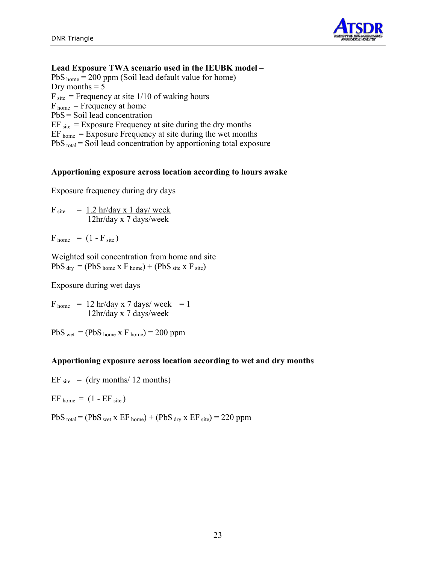

**Lead Exposure TWA scenario used in the IEUBK model** –  $PbS_{home} = 200$  ppm (Soil lead default value for home) Dry months  $= 5$  $F_{site}$  = Frequency at site 1/10 of waking hours  $F_{home}$  = Frequency at home PbS = Soil lead concentration  $EF_{site} = Exposure Frequency at site during the dry months$  $EF_{home} = Exposure Frequency at site during the wet months$  $PbS<sub>total</sub> = Soil lead concentration by apportioning total exposure$ 

#### **Apportioning exposure across location according to hours awake**

Exposure frequency during dry days

 $F_{\text{site}}$  =  $\frac{1.2 \text{ hr/day} \times 1 \text{ day/ week}}{1.2 \text{ hr/day} \times 1 \text{ day/ week}}$ 12hr/day x 7 days/week

 $F_{\text{home}} = (1 - F_{\text{site}})$ 

Weighted soil concentration from home and site  $PbS<sub>dry</sub> = (PbS<sub>home</sub> x F<sub>home</sub>) + (PbS<sub>site</sub> x F<sub>site</sub>)$ 

Exposure during wet days

 $F_{\text{home}} = 12 \text{ hr/day} \times 7 \text{ days/ week} = 1$ 12hr/day x 7 days/week

 $PbS<sub>wet</sub> = (PbS<sub>home</sub> x F<sub>home</sub>) = 200 ppm$ 

#### **Apportioning exposure across location according to wet and dry months**

 $EF_{site} = (dry months/ 12 months)$ 

 $EF_{home} = (1 - EF_{site})$ 

 $PbS<sub>total</sub> = (PbS<sub>wet</sub> x EF<sub>home</sub>) + (PbS<sub>dry</sub> x EF<sub>site</sub>) = 220 ppm$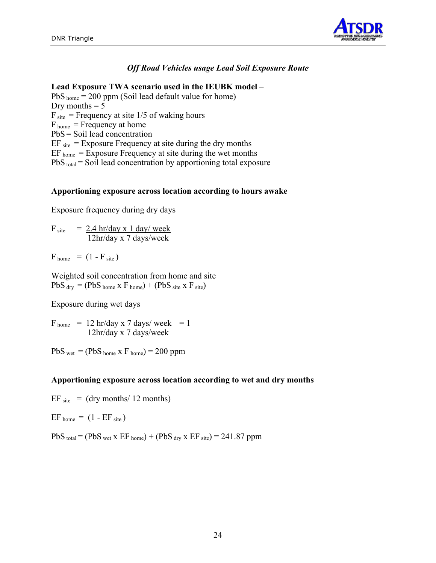

## *Off Road Vehicles usage Lead Soil Exposure Route*

#### **Lead Exposure TWA scenario used in the IEUBK model** –

PbS home = 200 ppm (Soil lead default value for home) Dry months  $= 5$  $F_{site}$  = Frequency at site 1/5 of waking hours  $F_{home}$  = Frequency at home PbS = Soil lead concentration  $EF<sub>site</sub> = Exposure Frequency at site during the dry months$  $EF_{home} = Exposure Frequency at site during the wet months$  $PbS<sub>total</sub> = Soil$  lead concentration by apportioning total exposure

#### **Apportioning exposure across location according to hours awake**

Exposure frequency during dry days

 $F_{\text{site}}$  = 2.4 hr/day x 1 day/ week 12hr/day x 7 days/week

 $F_{home} = (1 - F_{site})$ 

Weighted soil concentration from home and site  $PbS<sub>dry</sub> = (PbS<sub>home</sub> x F<sub>home</sub>) + (PbS<sub>site</sub> x F<sub>site</sub>)$ 

Exposure during wet days

 $F_{\text{home}} = 12 \text{ hr/day} \times 7 \text{ days/ week} = 1$ 12hr/day x 7 days/week

 $PbS<sub>wet</sub> = (PbS<sub>home</sub> x F<sub>home</sub>) = 200 ppm$ 

#### **Apportioning exposure across location according to wet and dry months**

 $EF_{site} = (dry months/ 12 months)$ 

 $EF_{home} = (1 - EF_{site})$ 

 $PbS<sub>total</sub> = (PbS<sub>wet</sub> x EF<sub>home</sub>) + (PbS<sub>dry</sub> x EF<sub>site</sub>) = 241.87 ppm$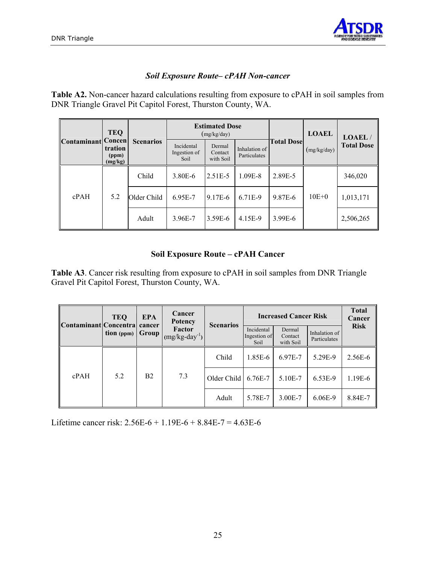

### *Soil Exposure Route– cPAH Non-cancer*

**Table A2.** Non-cancer hazard calculations resulting from exposure to cPAH in soil samples from DNR Triangle Gravel Pit Capitol Forest, Thurston County, WA.

| Contaminant Concen | <b>TEQ</b><br>tration<br>(ppm)<br>(mg/kg) | <b>Scenarios</b> | <b>Estimated Dose</b><br>(mg/kg/day) |                                |                               |                   | <b>LOAEL</b> | LOAEL/            |
|--------------------|-------------------------------------------|------------------|--------------------------------------|--------------------------------|-------------------------------|-------------------|--------------|-------------------|
|                    |                                           |                  | Incidental<br>Ingestion of<br>Soil   | Dermal<br>Contact<br>with Soil | Inhalation of<br>Particulates | <b>Total Dose</b> | (mg/kg/day)  | <b>Total Dose</b> |
| cPAH               | 5.2                                       | Child            | 3.80E-6                              | $2.51E-5$                      | 1.09E-8                       | 2.89E-5           | $10E + 0$    | 346,020           |
|                    |                                           | Older Child      | 6.95E-7                              | 9.17E-6                        | 6.71E-9                       | 9.87E-6           |              | 1,013,171         |
|                    |                                           | Adult            | 3.96E-7                              | 3.59E-6                        | 4.15E-9                       | $3.99E-6$         |              | 2,506,265         |

### **Soil Exposure Route – cPAH Cancer**

**Table A3**. Cancer risk resulting from exposure to cPAH in soil samples from DNR Triangle Gravel Pit Capitol Forest, Thurston County, WA.

| Contaminant Concentra  cancer | <b>TEQ</b><br>tion (ppm) | <b>EPA</b><br><b>Group</b> | Cancer<br><b>Potency</b><br>Factor<br>$(mg/kg-day^{-1})$ | <b>Scenarios</b> | <b>Increased Cancer Risk</b>       |                                |                               | <b>Total</b><br>Cancer |
|-------------------------------|--------------------------|----------------------------|----------------------------------------------------------|------------------|------------------------------------|--------------------------------|-------------------------------|------------------------|
|                               |                          |                            |                                                          |                  | Incidental<br>Ingestion of<br>Soil | Dermal<br>Contact<br>with Soil | Inhalation of<br>Particulates | <b>Risk</b>            |
| cPAH                          | 5.2                      | B <sub>2</sub>             | 7.3                                                      | Child            | 1.85E-6                            | 6.97E-7                        | 5.29E-9                       | 2.56E-6                |
|                               |                          |                            |                                                          | Older Child I    | 6.76E-7                            | 5.10E-7                        | $6.53E-9$                     | 1.19E-6                |
|                               |                          |                            |                                                          | Adult            | 5.78E-7                            | 3.00E-7                        | $6.06E-9$                     | 8.84E-7                |

Lifetime cancer risk: 2.56E-6 + 1.19E-6 + 8.84E-7 = 4.63E-6